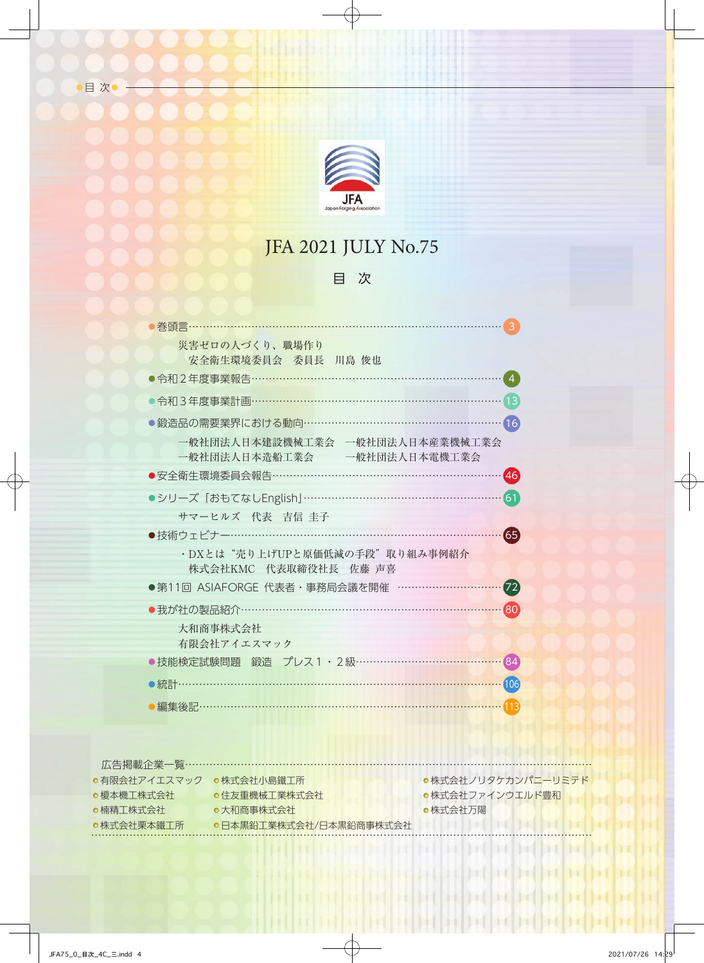

# JFA 2021 JULY No.75

## 目 次

| <b>巻頭言……………</b>                                                |  |
|----------------------------------------------------------------|--|
| 災害ゼロの人づくり、職場作り                                                 |  |
| 安全衛生環境委員会 委員長 川島 俊也                                            |  |
| ●令和2年度事業報告………………………………………………………                                |  |
| 令和3年度事業計画…………………………………………………………                                |  |
| ●鍛造品の需要業界における動向 ……………………………………………<br>16                        |  |
| 一般社団法人日本建設機械工業会 一般社団法人日本産業機械工業会<br>一般社団法人日本造船工業会 一般社団法人日本電機工業会 |  |
| ●安全衛生環境委員会報告……………………………………………………<br>(46)                       |  |
| ●シリーズ「おもてなしEnglish」………………………………………………<br>(61)                  |  |
| サマーヒルズ 代表 吉信 圭子                                                |  |
| ●技術ウェビナー…………………………………………………<br>65                              |  |
| ·DXとは"売り上げUPと原価低減の手段"取り組み事例紹介                                  |  |
| 株式会社KMC 代表取締役社長 佐藤 声喜                                          |  |
| ●第11回 ASIAFORGE 代表者・事務局会議を開催 …………………<br>$\left( 72\right)$     |  |
| ●我が社の製品紹介………………………………………………………<br>$\overline{80}$              |  |
| 大和商事株式会社                                                       |  |
| 有限会社アイエスマック                                                    |  |
| ●技能検定試験問題 鍛造 プレス1・2級………………………………<br>84                         |  |
| <b>D統計………………………………………………………………………</b><br>106                   |  |
|                                                                |  |
| 編集後記…                                                          |  |

広告掲載企業一覧……………………………………… 株式会社ノリタケカンパニーリミテド 有限会社アイエスマック 株式会社小島鐵工所 株式会社ファインウエルド豊和 榎本機工株式会社 住友重機械工業株式会社 楠精工株式会社 大和商事株式会社 株式会社万陽 ●日本黒鉛工業株式会社/日本黒鉛商事株式会社 株式会社栗本鐵工所 **Children** and the ……………………………………………………………………………………………………………………………… he had he had he had

the bad

**Do fil** 1 F

**Itali**